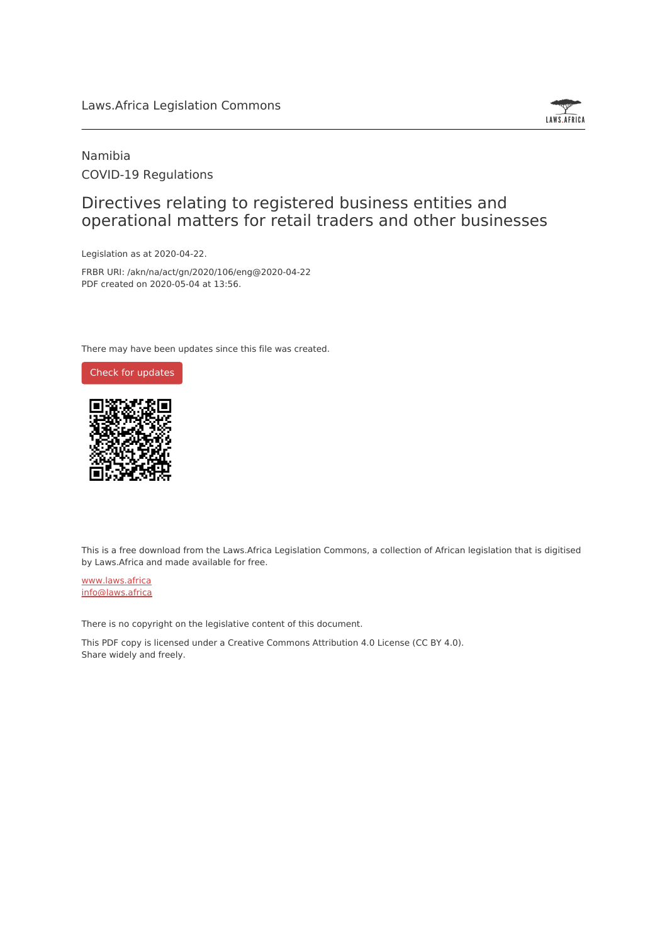## Laws.Africa Legislation Commons



## Namibia COVID-19 Regulations

## Directives relating to registered business entities and operational matters for retail traders and other businesses

Legislation as at 2020-04-22.

FRBR URI: /akn/na/act/gn/2020/106/eng@2020-04-22 PDF created on 2020-05-04 at 13:56.

There may have been updates since this file was created.



This is a free download from the Laws.Africa Legislation Commons, a collection of African legislation that is digitised by Laws.Africa and made available for free.

[www.laws.africa](https://www.laws.africa) [info@laws.africa](mailto:info@laws.africa)

There is no copyright on the legislative content of this document.

This PDF copy is licensed under a Creative Commons Attribution 4.0 License (CC BY 4.0). Share widely and freely.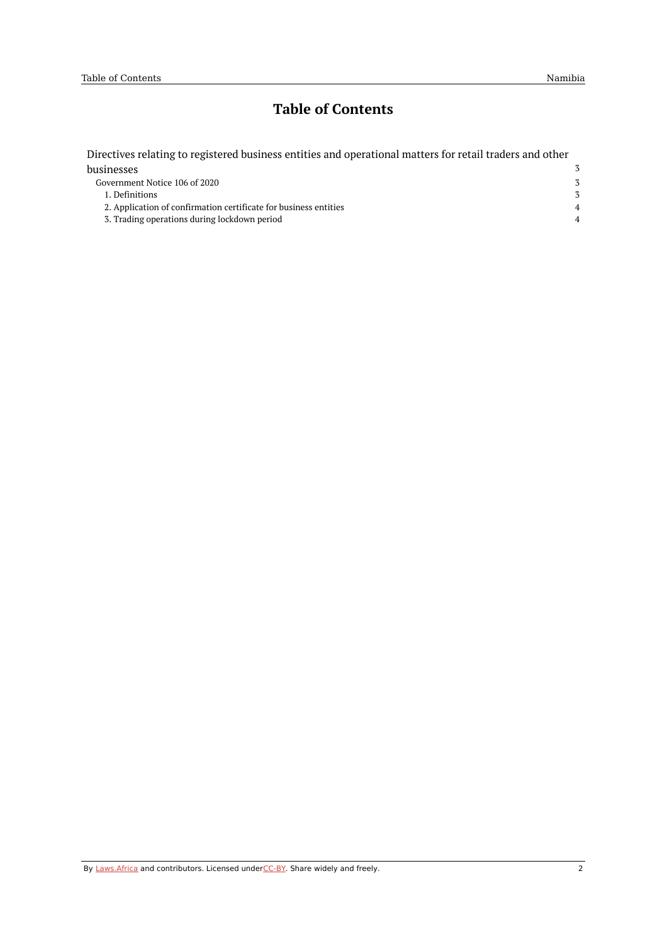# **Table of Contents**

| Directives relating to registered business entities and operational matters for retail traders and other |                |
|----------------------------------------------------------------------------------------------------------|----------------|
| businesses                                                                                               | 3              |
| Government Notice 106 of 2020                                                                            | 3              |
| 1. Definitions                                                                                           | $\mathcal{Z}$  |
| 2. Application of confirmation certificate for business entities                                         | $\overline{4}$ |
| 3. Trading operations during lockdown period                                                             | $\overline{4}$ |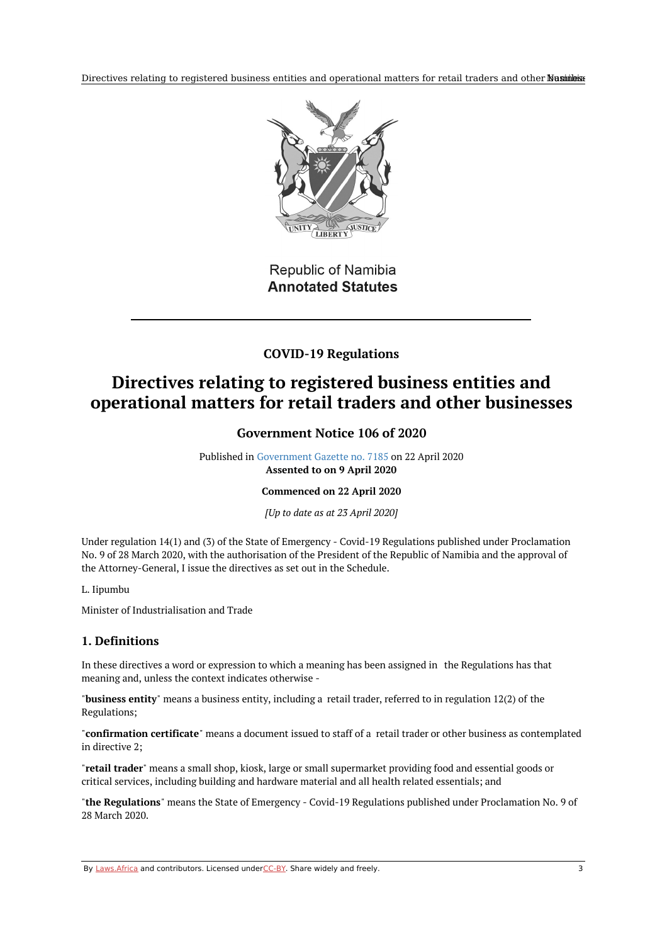Directives relating to registered business entities and operational matters for retail traders and other Nashinibisation



## Republic of Namibia **Annotated Statutes**

## **COVID-19 Regulations**

# <span id="page-2-1"></span><span id="page-2-0"></span>**Directives relating to registered business entities and operational matters for retail traders and other businesses**

## **Government Notice 106 of 2020**

Published in [Government](https://edit.laws.africa/works/na/act/gn/2020/106/media/publication/na-act-gn-2020-106-publication-document.pdf) Gazette no. 7185 on 22 April 2020 **Assented to on 9 April 2020**

#### **Commenced on 22 April 2020**

*[Up to date as at 23 April 2020]*

Under regulation 14(1) and (3) of the State of Emergency - Covid-19 Regulations published under Proclamation No. 9 of 28 March 2020, with the authorisation of the President of the Republic of Namibia and the approval of the Attorney-General, I issue the directives as set out in the Schedule.

#### L. Iipumbu

Minister of Industrialisation and Trade

### <span id="page-2-2"></span>**1. Definitions**

In these directives a word or expression to which a meaning has been assigned in the Regulations has that meaning and, unless the context indicates otherwise -

"**business entity**" means a business entity, including a retail trader, referred to in regulation 12(2) of the Regulations;

"**confirmation certificate**" means a document issued to staff of a retail trader or other business as contemplated in directive 2;

"**retail trader**" means a small shop, kiosk, large or small supermarket providing food and essential goods or critical services, including building and hardware material and all health related essentials; and

"**the Regulations**" means the State of Emergency - Covid-19 Regulations published under Proclamation No. 9 of 28 March 2020.

By [Laws.Africa](https://edit.laws.africa/widgets/pdf-attribution) and contributors. Licensed und[erCC-B](https://edit.laws.africa/widgets/pdf-cc-by)Y. Share widely and freely. 3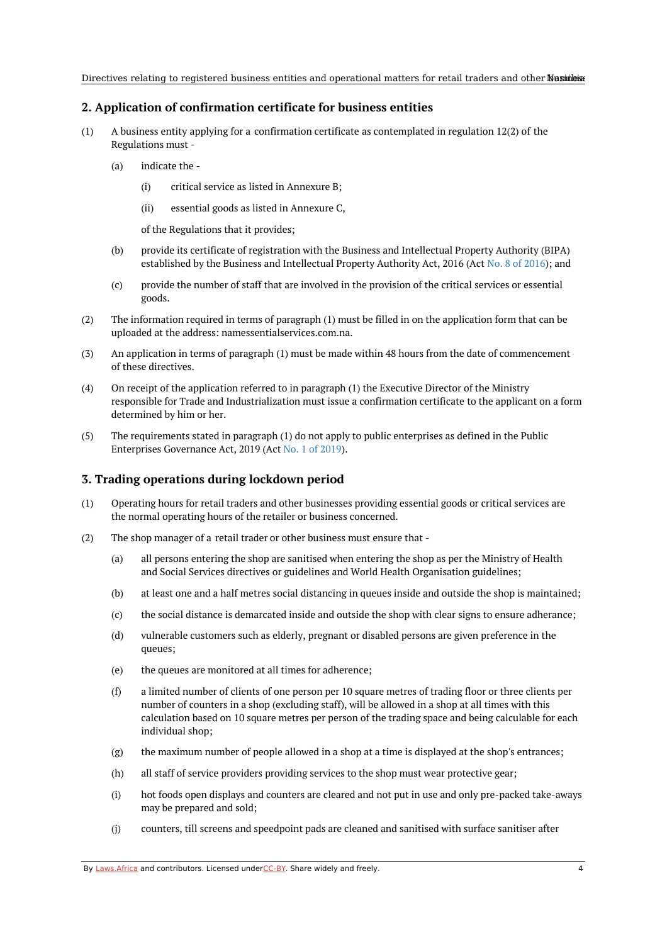### <span id="page-3-0"></span>**2. Application of confirmation certificate for business entities**

- (1) A business entity applying for a confirmation certificate as contemplated in regulation 12(2) of the Regulations must -
	- (a) indicate the -
		- (i) critical service as listed in Annexure B;
		- $(iii)$ essential goods as listed in Annexure C,

of the Regulations that it provides;

- (b) provide its certificate of registration with the Business and Intellectual Property Authority (BIPA) established by the Business and Intellectual Property Authority Act, 2016 (Act No. 8 of [2016](https://namiblii.org/akn/na/act/2016/8)); and
- (c) provide the number of staff that are involved in the provision of the critical services or essential goods.
- (2) The information required in terms of paragraph (1) must be filled in on the application form that can be uploaded at the address: namessentialservices.com.na.
- (3) An application in terms of paragraph (1) must be made within 48 hours from the date of commencement of these directives.
- (4) On receipt of the application referred to in paragraph (1) the Executive Director of the Ministry responsible for Trade and Industrialization must issue a confirmation certificate to the applicant on a form determined by him or her.
- (5) The requirements stated in paragraph (1) do not apply to public enterprises as defined in the Public Enterprises Governance Act, 2019 (Act No. 1 of [2019](https://namiblii.org/akn/na/act/2019/1)).

#### <span id="page-3-1"></span>**3. Trading operations during lockdown period**

- (1) Operating hours for retail traders and other businesses providing essential goods or critical services are the normal operating hours of the retailer or business concerned.
- (2) The shop manager of a retail trader or other business must ensure that -
	- (a) all persons entering the shop are sanitised when entering the shop as per the Ministry of Health and Social Services directives or guidelines and World Health Organisation guidelines;
	- (b) at least one and a half metres social distancing in queues inside and outside the shop is maintained;
	- (c) the social distance is demarcated inside and outside the shop with clear signs to ensure adherance;
	- (d) vulnerable customers such as elderly, pregnant or disabled persons are given preference in the queues;
	- (e) the queues are monitored at all times for adherence;
	- (f) a limited number of clients of one person per 10 square metres of trading floor or three clients per number of counters in a shop (excluding staff), will be allowed in a shop at all times with this calculation based on 10 square metres per person of the trading space and being calculable for each individual shop;
	- (g) the maximum number of people allowed in a shop at a time is displayed at the shop's entrances;
	- (h) all staff of service providers providing services to the shop must wear protective gear;
	- (i) hot foods open displays and counters are cleared and not put in use and only pre-packed take-aways may be prepared and sold;
	- (j) counters, till screens and speedpoint pads are cleaned and sanitised with surface sanitiser after

By [Laws.Africa](https://edit.laws.africa/widgets/pdf-attribution) and contributors. Licensed und[erCC-B](https://edit.laws.africa/widgets/pdf-cc-by)Y. Share widely and freely. 4